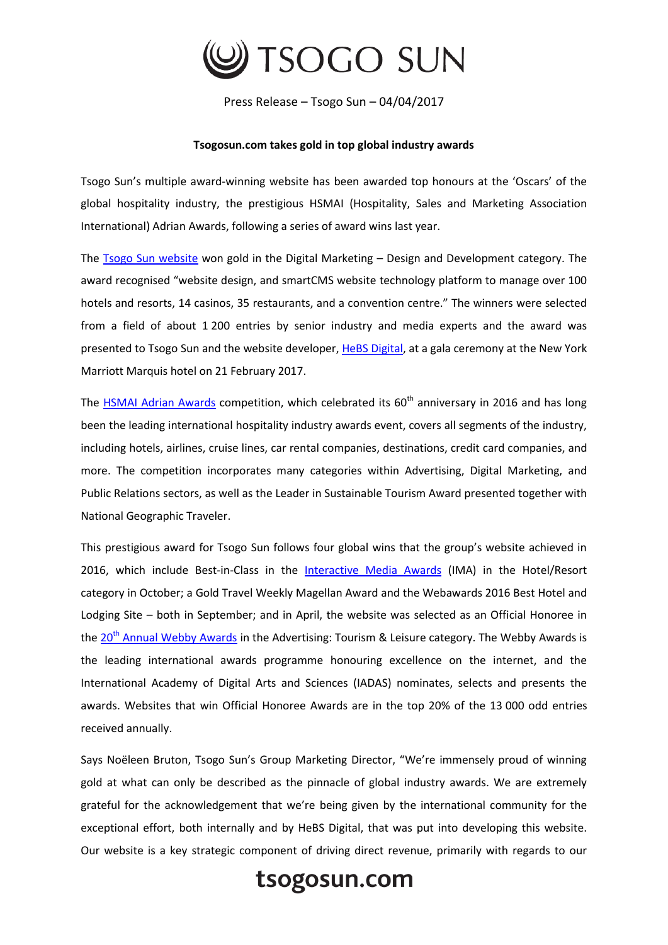

Press Release – Tsogo Sun – 04/04/2017

## **Tsogosun.com takes gold in top global industry awards**

Tsogo Sun's multiple award-winning website has been awarded top honours at the 'Oscars' of the global hospitality industry, the prestigious HSMAI (Hospitality, Sales and Marketing Association International) Adrian Awards, following a series of award wins last year.

The **Tsogo Sun website** won gold in the Digital Marketing - Design and Development category. The award recognised "website design, and smartCMS website technology platform to manage over 100 hotels and resorts, 14 casinos, 35 restaurants, and a convention centre." The winners were selected from a field of about 1 200 entries by senior industry and media experts and the award was presented to Tsogo Sun and the website developer[, HeBS Digital,](https://protect-za.mimecast.com/s/l1GRBYSqww0F2?domain=hebsdigital.com) at a gala ceremony at the New York Marriott Marquis hotel on 21 February 2017.

The [HSMAI Adrian Awards](http://www.adrianawards.com/) competition, which celebrated its 60<sup>th</sup> anniversary in 2016 and has long been the leading international hospitality industry awards event, covers all segments of the industry, including hotels, airlines, cruise lines, car rental companies, destinations, credit card companies, and more. The competition incorporates many categories within Advertising, Digital Marketing, and Public Relations sectors, as well as the Leader in Sustainable Tourism Award presented together with National Geographic Traveler.

This prestigious award for Tsogo Sun follows four global wins that the group's website achieved in 2016, which include Best-in-Class in the [Interactive Media Awards](http://interactivemediaawards.com/winners/certificate.asp?param=648753&cat=1) (IMA) in the Hotel/Resort category in October; a Gold Travel Weekly Magellan Award and the Webawards 2016 Best Hotel and Lodging Site – both in September; and in April, the website was selected as an Official Honoree in the 20<sup>th</sup> [Annual Webby Awards](http://webbyawards.com/winners/2016/advertising-media/websites-micro-sites-and-rich-media/tourism-leisure/tsogo-sun/) in the Advertising: Tourism & Leisure category. The Webby Awards is the leading international awards programme honouring excellence on the internet, and the International Academy of Digital Arts and Sciences (IADAS) nominates, selects and presents the awards. Websites that win Official Honoree Awards are in the top 20% of the 13 000 odd entries received annually.

Says Noëleen Bruton, Tsogo Sun's Group Marketing Director, "We're immensely proud of winning gold at what can only be described as the pinnacle of global industry awards. We are extremely grateful for the acknowledgement that we're being given by the international community for the exceptional effort, both internally and by HeBS Digital, that was put into developing this website. Our website is a key strategic component of driving direct revenue, primarily with regards to our

## tsogosun.com